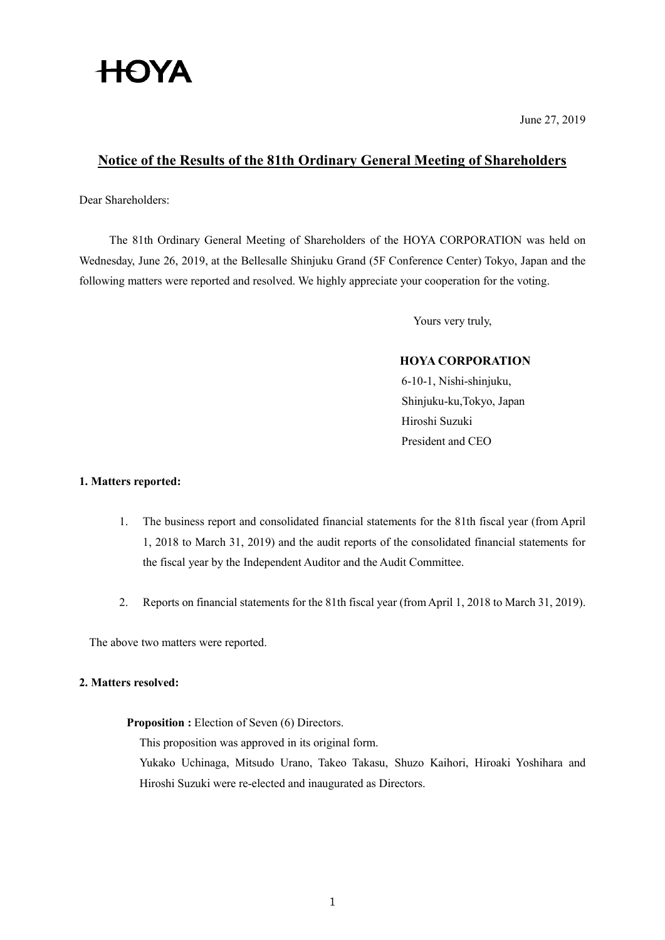# **HOYA**

June 27, 2019

# **Notice of the Results of the 81th Ordinary General Meeting of Shareholders**

Dear Shareholders:

The 81th Ordinary General Meeting of Shareholders of the HOYA CORPORATION was held on Wednesday, June 26, 2019, at the Bellesalle Shinjuku Grand (5F Conference Center) Tokyo, Japan and the following matters were reported and resolved. We highly appreciate your cooperation for the voting.

Yours very truly,

# **HOYA CORPORATION**

6-10-1, Nishi-shinjuku, Shinjuku-ku,Tokyo, Japan Hiroshi Suzuki President and CEO

# **1. Matters reported:**

- 1. The business report and consolidated financial statements for the 81th fiscal year (from April 1, 2018 to March 31, 2019) and the audit reports of the consolidated financial statements for the fiscal year by the Independent Auditor and the Audit Committee.
- 2. Reports on financial statements for the 81th fiscal year (from April 1, 2018 to March 31, 2019).

The above two matters were reported.

### **2. Matters resolved:**

**Proposition :** Election of Seven (6) Directors.

This proposition was approved in its original form.

Yukako Uchinaga, Mitsudo Urano, Takeo Takasu, Shuzo Kaihori, Hiroaki Yoshihara and Hiroshi Suzuki were re-elected and inaugurated as Directors.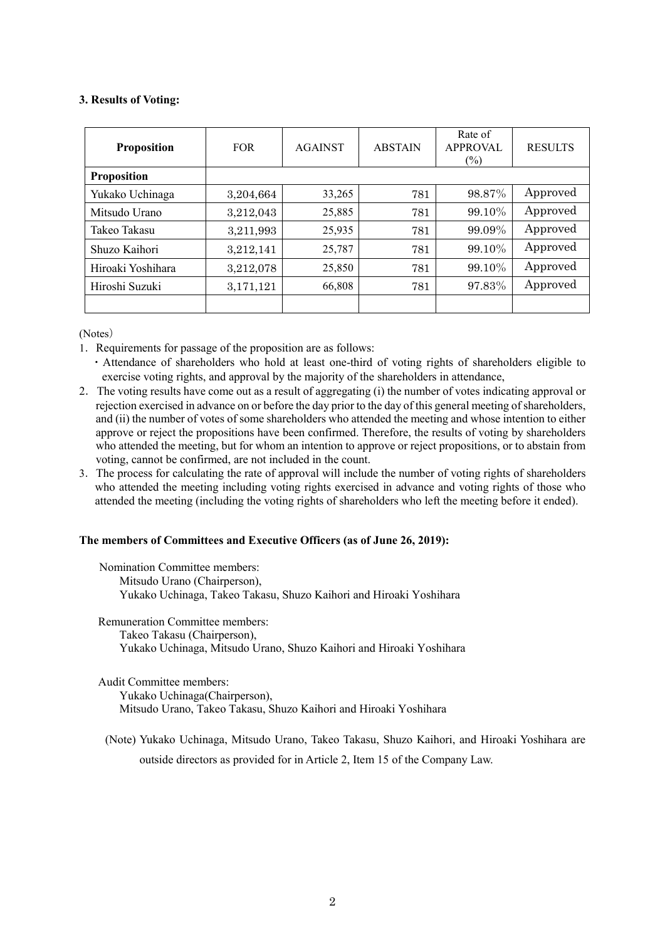# **3. Results of Voting:**

| <b>Proposition</b> | <b>FOR</b> | <b>AGAINST</b> | <b>ABSTAIN</b> | Rate of<br><b>APPROVAL</b><br>$(\%)$ | <b>RESULTS</b> |
|--------------------|------------|----------------|----------------|--------------------------------------|----------------|
| <b>Proposition</b> |            |                |                |                                      |                |
| Yukako Uchinaga    | 3,204,664  | 33,265         | 781            | 98.87%                               | Approved       |
| Mitsudo Urano      | 3,212,043  | 25,885         | 781            | 99.10%                               | Approved       |
| Takeo Takasu       | 3,211,993  | 25,935         | 781            | 99.09%                               | Approved       |
| Shuzo Kaihori      | 3,212,141  | 25,787         | 781            | 99.10%                               | Approved       |
| Hiroaki Yoshihara  | 3,212,078  | 25,850         | 781            | 99.10%                               | Approved       |
| Hiroshi Suzuki     | 3,171,121  | 66,808         | 781            | 97.83%                               | Approved       |
|                    |            |                |                |                                      |                |

(Notes)

- 1.Requirements for passage of the proposition are as follows:
	- ・Attendance of shareholders who hold at least one-third of voting rights of shareholders eligible to exercise voting rights, and approval by the majority of the shareholders in attendance,
- 2.The voting results have come out as a result of aggregating (i) the number of votes indicating approval or rejection exercised in advance on or before the day prior to the day of this general meeting of shareholders, and (ii) the number of votes of some shareholders who attended the meeting and whose intention to either approve or reject the propositions have been confirmed. Therefore, the results of voting by shareholders who attended the meeting, but for whom an intention to approve or reject propositions, or to abstain from voting, cannot be confirmed, are not included in the count.
- 3.The process for calculating the rate of approval will include the number of voting rights of shareholders who attended the meeting including voting rights exercised in advance and voting rights of those who attended the meeting (including the voting rights of shareholders who left the meeting before it ended).

### **The members of Committees and Executive Officers (as of June 26, 2019):**

Nomination Committee members: Mitsudo Urano (Chairperson), Yukako Uchinaga, Takeo Takasu, Shuzo Kaihori and Hiroaki Yoshihara

Remuneration Committee members:

Takeo Takasu (Chairperson),

Yukako Uchinaga, Mitsudo Urano, Shuzo Kaihori and Hiroaki Yoshihara

Audit Committee members:

Yukako Uchinaga(Chairperson), Mitsudo Urano, Takeo Takasu, Shuzo Kaihori and Hiroaki Yoshihara

(Note) Yukako Uchinaga, Mitsudo Urano, Takeo Takasu, Shuzo Kaihori, and Hiroaki Yoshihara are outside directors as provided for in Article 2, Item 15 of the Company Law.